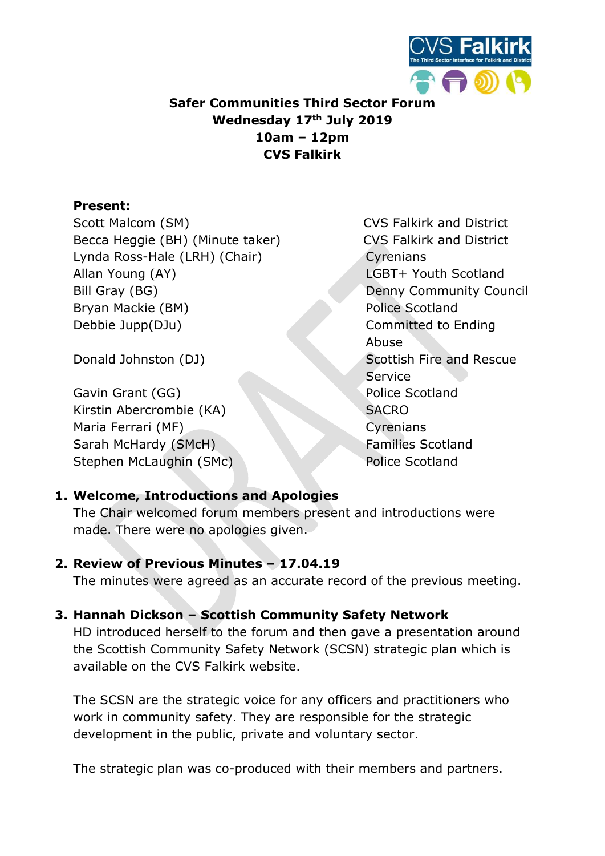

# Safer Communities Third Sector Forum Wednesday 17th July 2019 10am – 12pm CVS Falkirk

### Present:

Scott Malcom (SM) Scott Malcom (SM) Scott Malcom (SM) Scott Malcom CVS Falkirk and District Becca Heggie (BH) (Minute taker) CVS Falkirk and District Lynda Ross-Hale (LRH) (Chair) Cyrenians Allan Young (AY) LGBT+ Youth Scotland Bill Gray (BG) Denny Community Council Bryan Mackie (BM) Police Scotland Debbie Jupp(DJu) Committed to Ending

Gavin Grant (GG) Police Scotland Kirstin Abercrombie (KA) SACRO Maria Ferrari (MF) Cyrenians Sarah McHardy (SMcH) Families Scotland Stephen McLaughin (SMc) New York Police Scotland

Abuse Donald Johnston (DJ) Scottish Fire and Rescue **Service** 

## 1. Welcome, Introductions and Apologies

The Chair welcomed forum members present and introductions were made. There were no apologies given.

#### 2. Review of Previous Minutes – 17.04.19

The minutes were agreed as an accurate record of the previous meeting.

## 3. Hannah Dickson – Scottish Community Safety Network

HD introduced herself to the forum and then gave a presentation around the Scottish Community Safety Network (SCSN) strategic plan which is available on the CVS Falkirk website.

The SCSN are the strategic voice for any officers and practitioners who work in community safety. They are responsible for the strategic development in the public, private and voluntary sector.

The strategic plan was co-produced with their members and partners.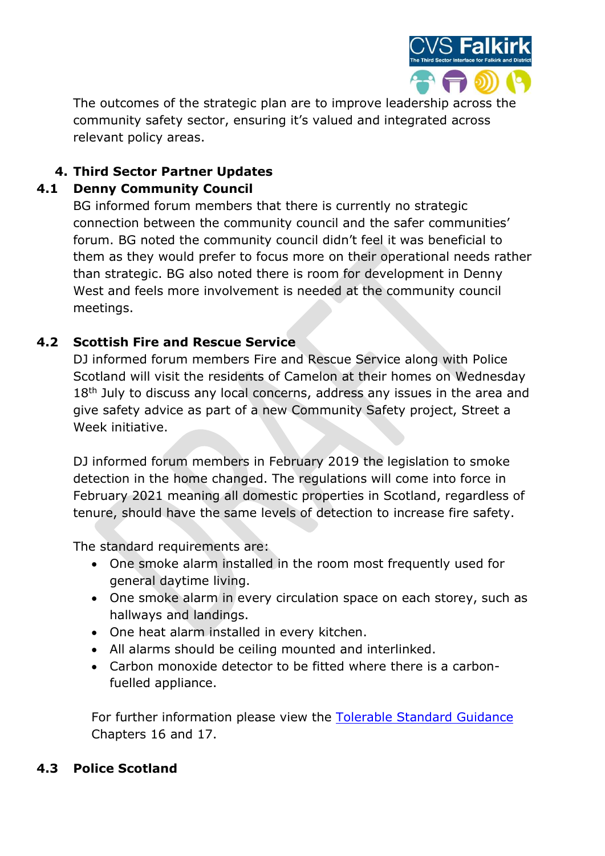

The outcomes of the strategic plan are to improve leadership across the community safety sector, ensuring it's valued and integrated across relevant policy areas.

# 4. Third Sector Partner Updates

## 4.1 Denny Community Council

BG informed forum members that there is currently no strategic connection between the community council and the safer communities' forum. BG noted the community council didn't feel it was beneficial to them as they would prefer to focus more on their operational needs rather than strategic. BG also noted there is room for development in Denny West and feels more involvement is needed at the community council meetings.

## 4.2 Scottish Fire and Rescue Service

DJ informed forum members Fire and Rescue Service along with Police Scotland will visit the residents of Camelon at their homes on Wednesday 18<sup>th</sup> July to discuss any local concerns, address any issues in the area and give safety advice as part of a new Community Safety project, Street a Week initiative.

DJ informed forum members in February 2019 the legislation to smoke detection in the home changed. The regulations will come into force in February 2021 meaning all domestic properties in Scotland, regardless of tenure, should have the same levels of detection to increase fire safety.

The standard requirements are:

- One smoke alarm installed in the room most frequently used for general daytime living.
- One smoke alarm in every circulation space on each storey, such as hallways and landings.
- One heat alarm installed in every kitchen.
- All alarms should be ceiling mounted and interlinked.
- Carbon monoxide detector to be fitted where there is a carbonfuelled appliance.

For further information please view the Tolerable Standard Guidance Chapters 16 and 17.

#### 4.3 Police Scotland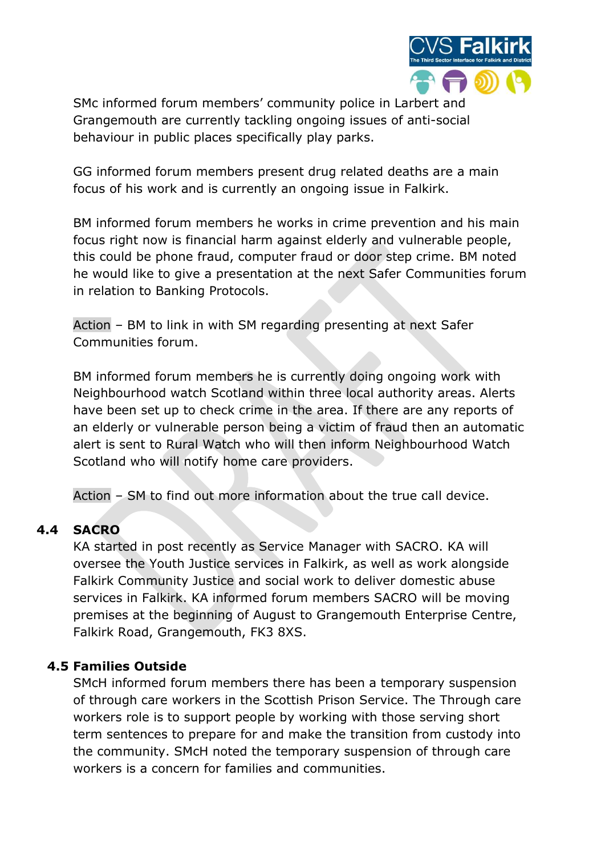

SMc informed forum members' community police in Larbert and Grangemouth are currently tackling ongoing issues of anti-social behaviour in public places specifically play parks.

GG informed forum members present drug related deaths are a main focus of his work and is currently an ongoing issue in Falkirk.

BM informed forum members he works in crime prevention and his main focus right now is financial harm against elderly and vulnerable people, this could be phone fraud, computer fraud or door step crime. BM noted he would like to give a presentation at the next Safer Communities forum in relation to Banking Protocols.

Action – BM to link in with SM regarding presenting at next Safer Communities forum.

BM informed forum members he is currently doing ongoing work with Neighbourhood watch Scotland within three local authority areas. Alerts have been set up to check crime in the area. If there are any reports of an elderly or vulnerable person being a victim of fraud then an automatic alert is sent to Rural Watch who will then inform Neighbourhood Watch Scotland who will notify home care providers.

Action – SM to find out more information about the true call device.

#### 4.4 SACRO

KA started in post recently as Service Manager with SACRO. KA will oversee the Youth Justice services in Falkirk, as well as work alongside Falkirk Community Justice and social work to deliver domestic abuse services in Falkirk. KA informed forum members SACRO will be moving premises at the beginning of August to Grangemouth Enterprise Centre, Falkirk Road, Grangemouth, FK3 8XS.

#### 4.5 Families Outside

SMcH informed forum members there has been a temporary suspension of through care workers in the Scottish Prison Service. The Through care workers role is to support people by working with those serving short term sentences to prepare for and make the transition from custody into the community. SMcH noted the temporary suspension of through care workers is a concern for families and communities.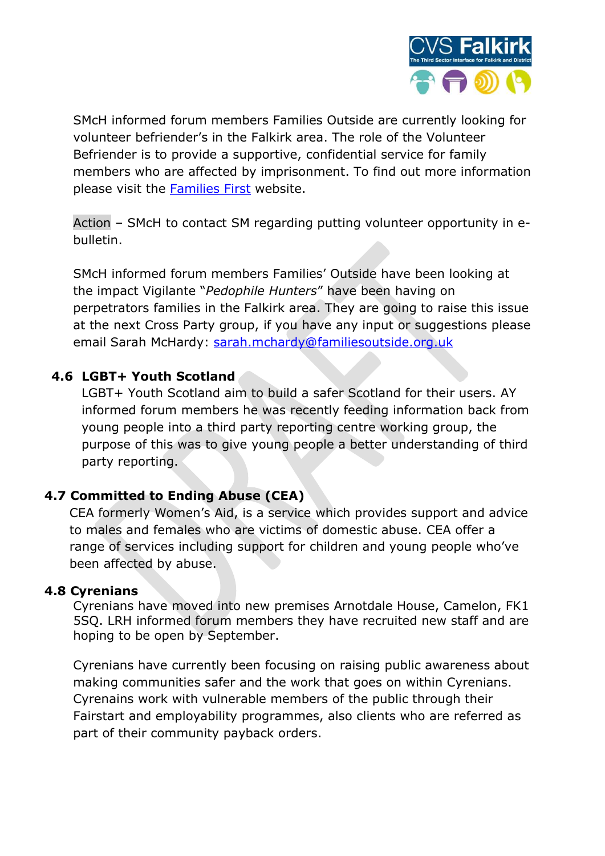

SMcH informed forum members Families Outside are currently looking for volunteer befriender's in the Falkirk area. The role of the Volunteer Befriender is to provide a supportive, confidential service for family members who are affected by imprisonment. To find out more information please visit the Families First website.

Action – SMcH to contact SM regarding putting volunteer opportunity in ebulletin.

SMcH informed forum members Families' Outside have been looking at the impact Vigilante "Pedophile Hunters" have been having on perpetrators families in the Falkirk area. They are going to raise this issue at the next Cross Party group, if you have any input or suggestions please email Sarah McHardy: sarah.mchardy@familiesoutside.org.uk

#### 4.6 LGBT+ Youth Scotland

LGBT+ Youth Scotland aim to build a safer Scotland for their users. AY informed forum members he was recently feeding information back from young people into a third party reporting centre working group, the purpose of this was to give young people a better understanding of third party reporting.

#### 4.7 Committed to Ending Abuse (CEA)

CEA formerly Women's Aid, is a service which provides support and advice to males and females who are victims of domestic abuse. CEA offer a range of services including support for children and young people who've been affected by abuse.

#### 4.8 Cyrenians

Cyrenians have moved into new premises Arnotdale House, Camelon, FK1 5SQ. LRH informed forum members they have recruited new staff and are hoping to be open by September.

Cyrenians have currently been focusing on raising public awareness about making communities safer and the work that goes on within Cyrenians. Cyrenains work with vulnerable members of the public through their Fairstart and employability programmes, also clients who are referred as part of their community payback orders.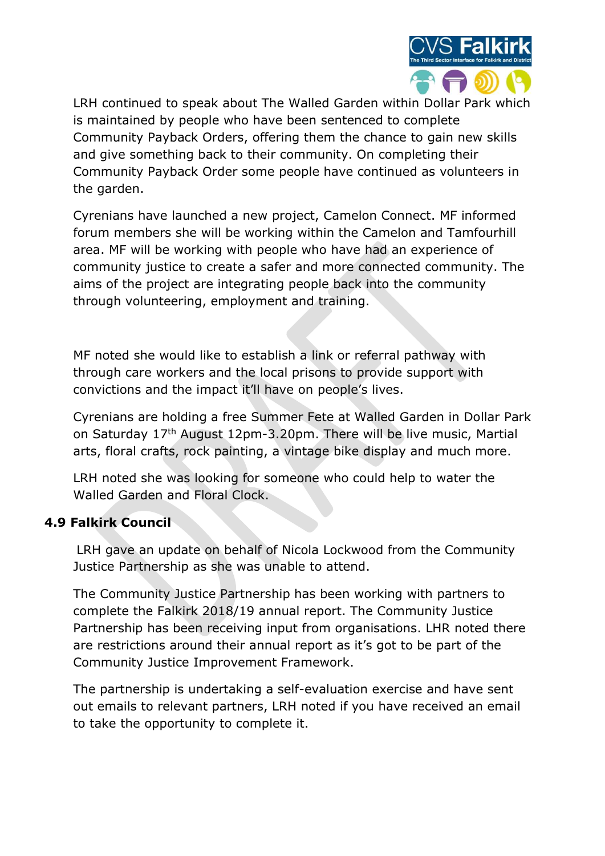

LRH continued to speak about The Walled Garden within Dollar Park which is maintained by people who have been sentenced to complete Community Payback Orders, offering them the chance to gain new skills and give something back to their community. On completing their Community Payback Order some people have continued as volunteers in the garden.

Cyrenians have launched a new project, Camelon Connect. MF informed forum members she will be working within the Camelon and Tamfourhill area. MF will be working with people who have had an experience of community justice to create a safer and more connected community. The aims of the project are integrating people back into the community through volunteering, employment and training.

MF noted she would like to establish a link or referral pathway with through care workers and the local prisons to provide support with convictions and the impact it'll have on people's lives.

Cyrenians are holding a free Summer Fete at Walled Garden in Dollar Park on Saturday 17th August 12pm-3.20pm. There will be live music, Martial arts, floral crafts, rock painting, a vintage bike display and much more.

LRH noted she was looking for someone who could help to water the Walled Garden and Floral Clock.

#### 4.9 Falkirk Council

LRH gave an update on behalf of Nicola Lockwood from the Community Justice Partnership as she was unable to attend.

The Community Justice Partnership has been working with partners to complete the Falkirk 2018/19 annual report. The Community Justice Partnership has been receiving input from organisations. LHR noted there are restrictions around their annual report as it's got to be part of the Community Justice Improvement Framework.

The partnership is undertaking a self-evaluation exercise and have sent out emails to relevant partners, LRH noted if you have received an email to take the opportunity to complete it.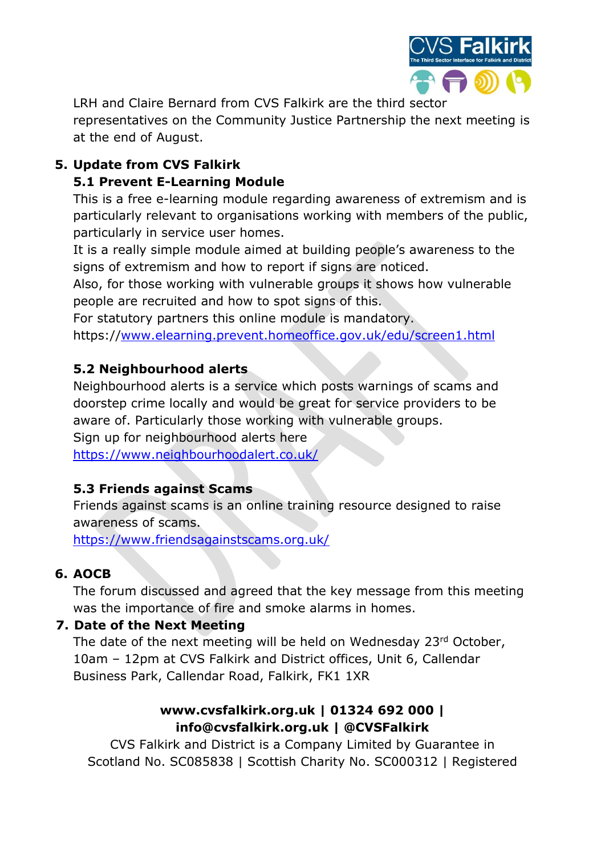

LRH and Claire Bernard from CVS Falkirk are the third sector

representatives on the Community Justice Partnership the next meeting is at the end of August.

# 5. Update from CVS Falkirk 5.1 Prevent E-Learning Module

This is a free e-learning module regarding awareness of extremism and is particularly relevant to organisations working with members of the public, particularly in service user homes.

It is a really simple module aimed at building people's awareness to the signs of extremism and how to report if signs are noticed.

Also, for those working with vulnerable groups it shows how vulnerable people are recruited and how to spot signs of this.

For statutory partners this online module is mandatory.

https://www.elearning.prevent.homeoffice.gov.uk/edu/screen1.html

## 5.2 Neighbourhood alerts

Neighbourhood alerts is a service which posts warnings of scams and doorstep crime locally and would be great for service providers to be aware of. Particularly those working with vulnerable groups.

Sign up for neighbourhood alerts here

https://www.neighbourhoodalert.co.uk/

## 5.3 Friends against Scams

Friends against scams is an online training resource designed to raise awareness of scams.

https://www.friendsagainstscams.org.uk/

## 6. AOCB

The forum discussed and agreed that the key message from this meeting was the importance of fire and smoke alarms in homes.

## 7. Date of the Next Meeting

The date of the next meeting will be held on Wednesday 23rd October, 10am – 12pm at CVS Falkirk and District offices, Unit 6, Callendar Business Park, Callendar Road, Falkirk, FK1 1XR

## www.cvsfalkirk.org.uk | 01324 692 000 | info@cvsfalkirk.org.uk | @CVSFalkirk

CVS Falkirk and District is a Company Limited by Guarantee in Scotland No. SC085838 | Scottish Charity No. SC000312 | Registered